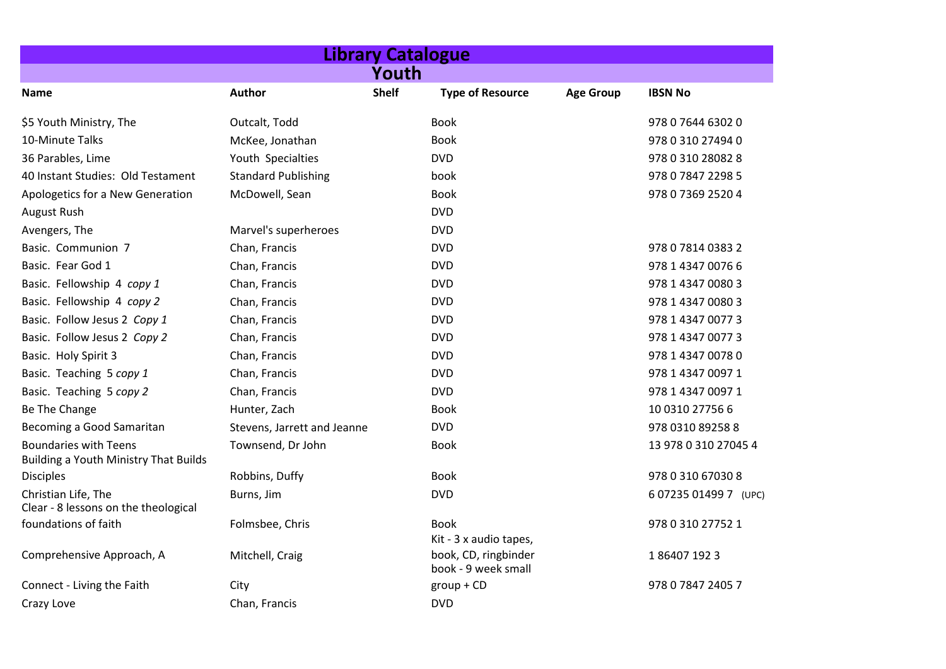| <b>Library Catalogue</b>                                                     |                             |              |                                             |                  |                       |  |  |
|------------------------------------------------------------------------------|-----------------------------|--------------|---------------------------------------------|------------------|-----------------------|--|--|
| Youth                                                                        |                             |              |                                             |                  |                       |  |  |
| Name                                                                         | <b>Author</b>               | <b>Shelf</b> | <b>Type of Resource</b>                     | <b>Age Group</b> | <b>IBSN No</b>        |  |  |
| \$5 Youth Ministry, The                                                      | Outcalt, Todd               |              | <b>Book</b>                                 |                  | 978 0 7644 6302 0     |  |  |
| 10-Minute Talks                                                              | McKee, Jonathan             |              | <b>Book</b>                                 |                  | 978 0 310 27494 0     |  |  |
| 36 Parables, Lime                                                            | Youth Specialties           |              | <b>DVD</b>                                  |                  | 978 0 310 28082 8     |  |  |
| 40 Instant Studies: Old Testament                                            | <b>Standard Publishing</b>  |              | book                                        |                  | 978 0 7847 2298 5     |  |  |
| Apologetics for a New Generation                                             | McDowell, Sean              |              | <b>Book</b>                                 |                  | 978 0 7369 2520 4     |  |  |
| August Rush                                                                  |                             |              | <b>DVD</b>                                  |                  |                       |  |  |
| Avengers, The                                                                | Marvel's superheroes        |              | <b>DVD</b>                                  |                  |                       |  |  |
| Basic. Communion 7                                                           | Chan, Francis               |              | <b>DVD</b>                                  |                  | 978 0 7814 0383 2     |  |  |
| Basic. Fear God 1                                                            | Chan, Francis               |              | <b>DVD</b>                                  |                  | 978 1 4347 0076 6     |  |  |
| Basic. Fellowship 4 copy 1                                                   | Chan, Francis               |              | <b>DVD</b>                                  |                  | 978 1 4347 0080 3     |  |  |
| Basic. Fellowship 4 copy 2                                                   | Chan, Francis               |              | <b>DVD</b>                                  |                  | 978 1 4347 0080 3     |  |  |
| Basic. Follow Jesus 2 Copy 1                                                 | Chan, Francis               |              | <b>DVD</b>                                  |                  | 978 1 4347 0077 3     |  |  |
| Basic. Follow Jesus 2 Copy 2                                                 | Chan, Francis               |              | <b>DVD</b>                                  |                  | 978 1 4347 0077 3     |  |  |
| Basic. Holy Spirit 3                                                         | Chan, Francis               |              | <b>DVD</b>                                  |                  | 978 1 4347 0078 0     |  |  |
| Basic. Teaching 5 copy 1                                                     | Chan, Francis               |              | <b>DVD</b>                                  |                  | 978 1 4347 0097 1     |  |  |
| Basic. Teaching 5 copy 2                                                     | Chan, Francis               |              | <b>DVD</b>                                  |                  | 978 1 4347 0097 1     |  |  |
| Be The Change                                                                | Hunter, Zach                |              | <b>Book</b>                                 |                  | 10 0310 27756 6       |  |  |
| Becoming a Good Samaritan                                                    | Stevens, Jarrett and Jeanne |              | <b>DVD</b>                                  |                  | 978 0310 89258 8      |  |  |
| <b>Boundaries with Teens</b><br><b>Building a Youth Ministry That Builds</b> | Townsend, Dr John           |              | <b>Book</b>                                 |                  | 13 978 0 310 27045 4  |  |  |
| <b>Disciples</b>                                                             | Robbins, Duffy              |              | <b>Book</b>                                 |                  | 978 0 310 67030 8     |  |  |
| Christian Life, The<br>Clear - 8 lessons on the theological                  | Burns, Jim                  |              | <b>DVD</b>                                  |                  | 6 07235 01499 7 (UPC) |  |  |
| foundations of faith                                                         | Folmsbee, Chris             |              | <b>Book</b><br>Kit - 3 x audio tapes,       |                  | 978 0 310 27752 1     |  |  |
| Comprehensive Approach, A                                                    | Mitchell, Craig             |              | book, CD, ringbinder<br>book - 9 week small |                  | 1864071923            |  |  |
| Connect - Living the Faith                                                   | City                        |              | $group + CD$                                |                  | 978 0 7847 2405 7     |  |  |
| Crazy Love                                                                   | Chan, Francis               |              | <b>DVD</b>                                  |                  |                       |  |  |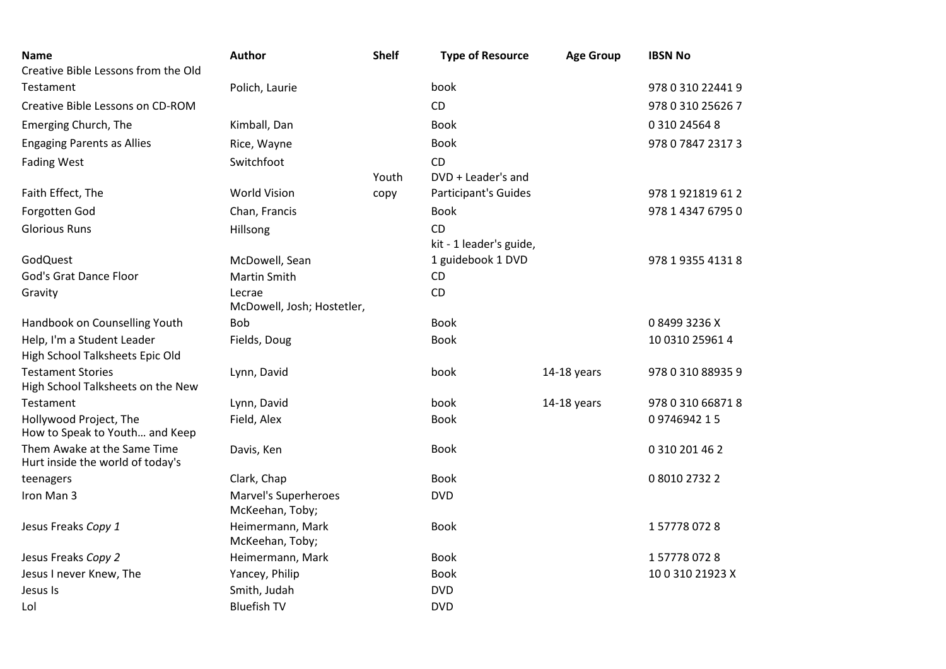| <b>Name</b><br>Creative Bible Lessons from the Old              | <b>Author</b>                           | <b>Shelf</b> | <b>Type of Resource</b> | <b>Age Group</b> | <b>IBSN No</b>    |
|-----------------------------------------------------------------|-----------------------------------------|--------------|-------------------------|------------------|-------------------|
| Testament                                                       | Polich, Laurie                          |              | book                    |                  | 978 0 310 22441 9 |
| Creative Bible Lessons on CD-ROM                                |                                         |              | CD                      |                  | 978 0 310 25626 7 |
| Emerging Church, The                                            | Kimball, Dan                            |              | <b>Book</b>             |                  | 0 310 24564 8     |
| <b>Engaging Parents as Allies</b>                               | Rice, Wayne                             |              | <b>Book</b>             |                  | 978 0 7847 2317 3 |
| <b>Fading West</b>                                              | Switchfoot                              |              | <b>CD</b>               |                  |                   |
|                                                                 |                                         | Youth        | DVD + Leader's and      |                  |                   |
| Faith Effect, The                                               | <b>World Vision</b>                     | copy         | Participant's Guides    |                  | 978 1 921819 61 2 |
| Forgotten God                                                   | Chan, Francis                           |              | <b>Book</b>             |                  | 978 1 4347 6795 0 |
| <b>Glorious Runs</b>                                            | Hillsong                                |              | <b>CD</b>               |                  |                   |
|                                                                 |                                         |              | kit - 1 leader's guide, |                  |                   |
| GodQuest                                                        | McDowell, Sean                          |              | 1 guidebook 1 DVD       |                  | 978 1 9355 4131 8 |
| <b>God's Grat Dance Floor</b>                                   | <b>Martin Smith</b>                     |              | CD                      |                  |                   |
| Gravity                                                         | Lecrae<br>McDowell, Josh; Hostetler,    |              | CD                      |                  |                   |
| Handbook on Counselling Youth                                   | Bob                                     |              | <b>Book</b>             |                  | 084993236X        |
| Help, I'm a Student Leader<br>High School Talksheets Epic Old   | Fields, Doug                            |              | <b>Book</b>             |                  | 10 0310 25961 4   |
| <b>Testament Stories</b><br>High School Talksheets on the New   | Lynn, David                             |              | book                    | 14-18 years      | 978 0 310 88935 9 |
| Testament                                                       | Lynn, David                             |              | book                    | $14-18$ years    | 978 0 310 66871 8 |
| Hollywood Project, The<br>How to Speak to Youth and Keep        | Field, Alex                             |              | <b>Book</b>             |                  | 0974694215        |
| Them Awake at the Same Time<br>Hurt inside the world of today's | Davis, Ken                              |              | <b>Book</b>             |                  | 0 310 201 46 2    |
| teenagers                                                       | Clark, Chap                             |              | <b>Book</b>             |                  | 0 8010 2732 2     |
| Iron Man 3                                                      | Marvel's Superheroes<br>McKeehan, Toby; |              | <b>DVD</b>              |                  |                   |
| Jesus Freaks Copy 1                                             | Heimermann, Mark<br>McKeehan, Toby;     |              | <b>Book</b>             |                  | 1577780728        |
| Jesus Freaks Copy 2                                             | Heimermann, Mark                        |              | <b>Book</b>             |                  | 1577780728        |
| Jesus I never Knew, The                                         | Yancey, Philip                          |              | <b>Book</b>             |                  | 10031021923X      |
| Jesus Is                                                        | Smith, Judah                            |              | <b>DVD</b>              |                  |                   |
| Lol                                                             | <b>Bluefish TV</b>                      |              | <b>DVD</b>              |                  |                   |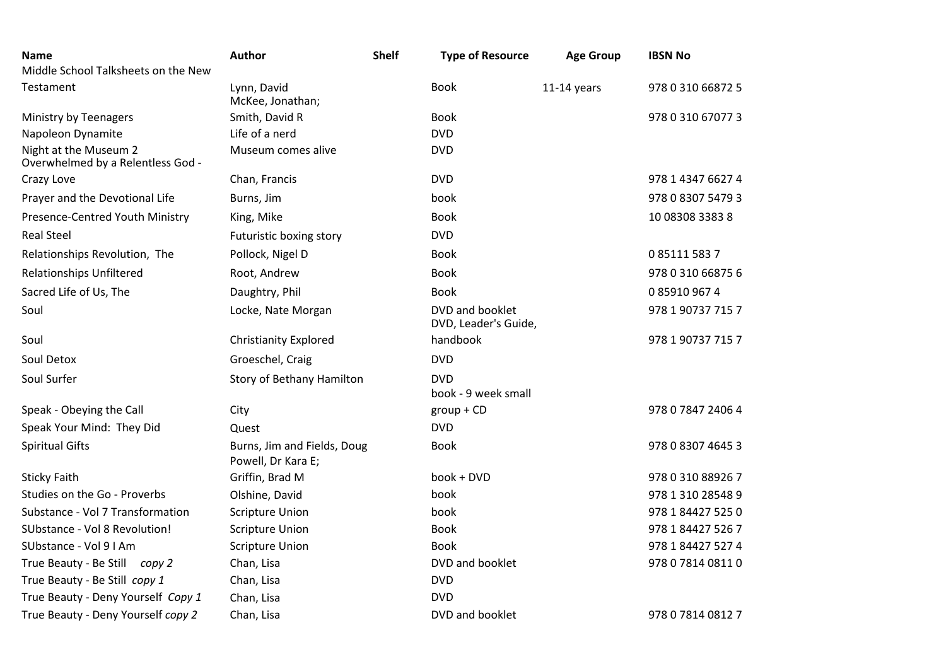| <b>Name</b>                                                | <b>Author</b>                                     | <b>Shelf</b> | <b>Type of Resource</b>                 | <b>Age Group</b> | <b>IBSN No</b>    |
|------------------------------------------------------------|---------------------------------------------------|--------------|-----------------------------------------|------------------|-------------------|
| Middle School Talksheets on the New                        |                                                   |              |                                         |                  |                   |
| Testament                                                  | Lynn, David<br>McKee, Jonathan;                   |              | <b>Book</b>                             | $11-14$ years    | 978 0 310 66872 5 |
| Ministry by Teenagers                                      | Smith, David R                                    |              | <b>Book</b>                             |                  | 978 0 310 67077 3 |
| Napoleon Dynamite                                          | Life of a nerd                                    |              | <b>DVD</b>                              |                  |                   |
| Night at the Museum 2<br>Overwhelmed by a Relentless God - | Museum comes alive                                |              | <b>DVD</b>                              |                  |                   |
| Crazy Love                                                 | Chan, Francis                                     |              | <b>DVD</b>                              |                  | 978 1 4347 6627 4 |
| Prayer and the Devotional Life                             | Burns, Jim                                        |              | book                                    |                  | 978 0 8307 5479 3 |
| Presence-Centred Youth Ministry                            | King, Mike                                        |              | <b>Book</b>                             |                  | 10 08308 3383 8   |
| <b>Real Steel</b>                                          | Futuristic boxing story                           |              | <b>DVD</b>                              |                  |                   |
| Relationships Revolution, The                              | Pollock, Nigel D                                  |              | <b>Book</b>                             |                  | 0 85111 583 7     |
| <b>Relationships Unfiltered</b>                            | Root, Andrew                                      |              | <b>Book</b>                             |                  | 978 0 310 66875 6 |
| Sacred Life of Us, The                                     | Daughtry, Phil                                    |              | <b>Book</b>                             |                  | 0 85910 967 4     |
| Soul                                                       | Locke, Nate Morgan                                |              | DVD and booklet<br>DVD, Leader's Guide, |                  | 978 1 90737 715 7 |
| Soul                                                       | <b>Christianity Explored</b>                      |              | handbook                                |                  | 978 1 90737 715 7 |
| Soul Detox                                                 | Groeschel, Craig                                  |              | <b>DVD</b>                              |                  |                   |
| Soul Surfer                                                | Story of Bethany Hamilton                         |              | <b>DVD</b><br>book - 9 week small       |                  |                   |
| Speak - Obeying the Call                                   | City                                              |              | $group + CD$                            |                  | 978 0 7847 2406 4 |
| Speak Your Mind: They Did                                  | Quest                                             |              | <b>DVD</b>                              |                  |                   |
| <b>Spiritual Gifts</b>                                     | Burns, Jim and Fields, Doug<br>Powell, Dr Kara E; |              | <b>Book</b>                             |                  | 978 0 8307 4645 3 |
| <b>Sticky Faith</b>                                        | Griffin, Brad M                                   |              | book + DVD                              |                  | 978 0 310 88926 7 |
| Studies on the Go - Proverbs                               | Olshine, David                                    |              | book                                    |                  | 978 1 310 28548 9 |
| Substance - Vol 7 Transformation                           | <b>Scripture Union</b>                            |              | book                                    |                  | 978 1 84427 525 0 |
| SUbstance - Vol 8 Revolution!                              | <b>Scripture Union</b>                            |              | <b>Book</b>                             |                  | 978 1 84427 526 7 |
| SUbstance - Vol 9 I Am                                     | <b>Scripture Union</b>                            |              | <b>Book</b>                             |                  | 978 1 84427 527 4 |
| True Beauty - Be Still copy 2                              | Chan, Lisa                                        |              | DVD and booklet                         |                  | 978 0 7814 0811 0 |
| True Beauty - Be Still copy 1                              | Chan, Lisa                                        |              | <b>DVD</b>                              |                  |                   |
| True Beauty - Deny Yourself Copy 1                         | Chan, Lisa                                        |              | <b>DVD</b>                              |                  |                   |
| True Beauty - Deny Yourself copy 2                         | Chan, Lisa                                        |              | DVD and booklet                         |                  | 978 0 7814 0812 7 |